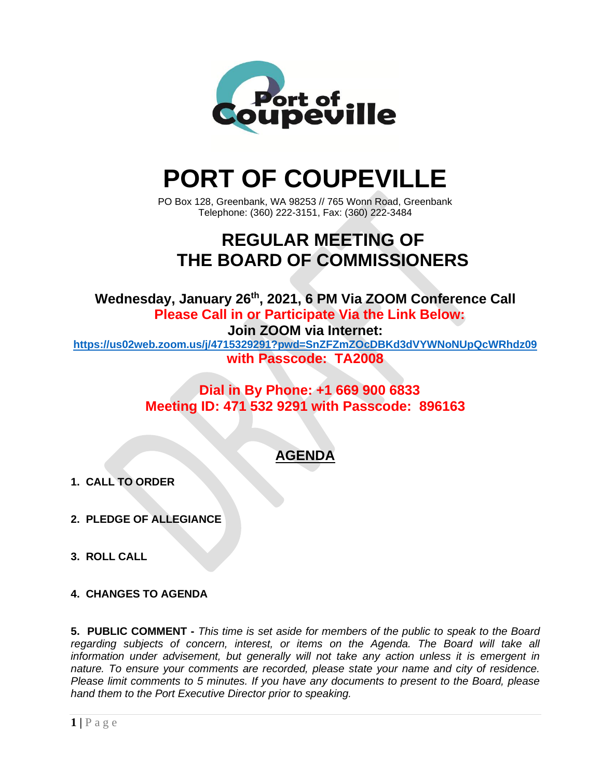

# **PORT OF COUPEVILLE**

PO Box 128, Greenbank, WA 98253 // 765 Wonn Road, Greenbank Telephone: (360) 222-3151, Fax: (360) 222-3484

## **REGULAR MEETING OF THE BOARD OF COMMISSIONERS**

**Wednesday, January 26 th , 2021, 6 PM Via ZOOM Conference Call Please Call in or Participate Via the Link Below: Join ZOOM via Internet:**

**<https://us02web.zoom.us/j/4715329291?pwd=SnZFZmZOcDBKd3dVYWNoNUpQcWRhdz09> with Passcode: TA2008**

> **Dial in By Phone: +1 669 900 6833 Meeting ID: 471 532 9291 with Passcode: 896163**

### **AGENDA**

- **1. CALL TO ORDER**
- **2. PLEDGE OF ALLEGIANCE**
- **3. ROLL CALL**
- **4. CHANGES TO AGENDA**

**5. PUBLIC COMMENT -** *This time is set aside for members of the public to speak to the Board regarding subjects of concern, interest, or items on the Agenda. The Board will take all information under advisement, but generally will not take any action unless it is emergent in nature. To ensure your comments are recorded, please state your name and city of residence. Please limit comments to 5 minutes. If you have any documents to present to the Board, please hand them to the Port Executive Director prior to speaking.*